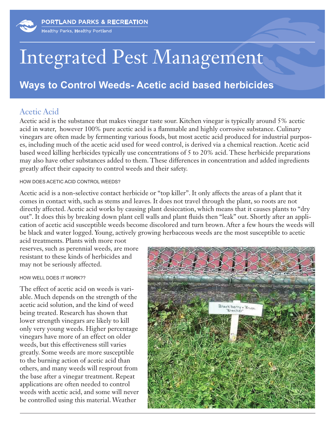# Integrated Pest Management

## **Ways to Control Weeds- Acetic acid based herbicides**

### Acetic Acid

Acetic acid is the substance that makes vinegar taste sour. Kitchen vinegar is typically around 5% acetic acid in water, however 100% pure acetic acid is a flammable and highly corrosive substance. Culinary vinegars are often made by fermenting various foods, but most acetic acid produced for industrial purposes, including much of the acetic acid used for weed control, is derived via a chemical reaction. Acetic acid based weed killing herbicides typically use concentrations of 5 to 20% acid. These herbicide preparations may also have other substances added to them. These differences in concentration and added ingredients greatly affect their capacity to control weeds and their safety.

#### HOW DOES ACETIC ACID CONTROL WEEDS?

Acetic acid is a non-selective contact herbicide or "top killer". It only affects the areas of a plant that it comes in contact with, such as stems and leaves. It does not travel through the plant, so roots are not directly affected. Acetic acid works by causing plant desiccation, which means that it causes plants to "dry out". It does this by breaking down plant cell walls and plant fluids then "leak" out. Shortly after an application of acetic acid susceptible weeds become discolored and turn brown. After a few hours the weeds will be black and water logged. Young, actively growing herbaceous weeds are the most susceptible to acetic

acid treatments. Plants with more root reserves, such as perennial weeds, are more resistant to these kinds of herbicides and may not be seriously affected.

#### HOW WELL DOES IT WORK??

The effect of acetic acid on weeds is variable. Much depends on the strength of the acetic acid solution, and the kind of weed being treated. Research has shown that lower strength vinegars are likely to kill only very young weeds. Higher percentage vinegars have more of an effect on older weeds, but this effectiveness still varies greatly. Some weeds are more susceptible to the burning action of acetic acid than others, and many weeds will resprout from the base after a vinegar treatment. Repeat applications are often needed to control weeds with acetic acid, and some will never be controlled using this material. Weather